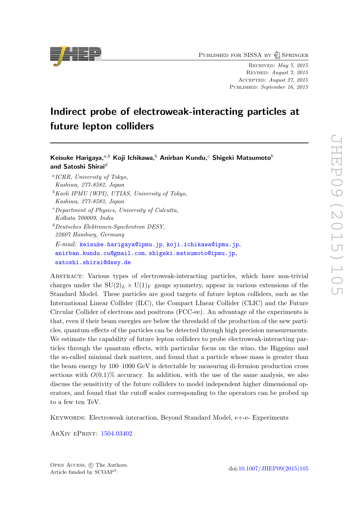PUBLISHED FOR SISSA BY 2 SPRINGER

Received: May 7, 2015 Revised: August 7, 2015 Accepted: August 27, 2015 PUBLISHED: September 16, 2015

# Indirect probe of electroweak-interacting particles at future lepton colliders

# Keisuke Harigaya, $a,b$  Koji Ichikawa, $b$  Anirban Kundu, $c$  Shigeki Matsumoto $b$ and Satoshi Shirai $^d$

- a ICRR, University of Tokyo, Kashiwa, 277-8582, Japan
- ${}^{\text{b}}$ Kavli IPMU (WPI), UTIAS, University of Tokyo, Kashiwa, 277-8583, Japan
- $c$ -Department of Physics, University of Calcutta, Kolkata 700009, India

 $d$ Deutsches Elektronen-Synchrotron DESY, 22607 Hamburg, Germany E-mail: [keisuke.harigaya@ipmu.jp](mailto:keisuke.harigaya@ipmu.jp), [koji.ichikawa@ipmu.jp](mailto:koji.ichikawa@ipmu.jp), [anirban.kundu.cu@gmail.com](mailto:anirban.kundu.cu@gmail.com), [shigeki.matsumoto@ipmu.jp](mailto:shigeki.matsumoto@ipmu.jp), [satoshi.shirai@desy.de](mailto:satoshi.shirai@desy.de)

Abstract: Various types of electroweak-interacting particles, which have non-trivial charges under the  $SU(2)_L \times U(1)_Y$  gauge symmetry, appear in various extensions of the Standard Model. These particles are good targets of future lepton colliders, such as the International Linear Collider (ILC), the Compact LInear Collider (CLIC) and the Future Circular Collider of electrons and positrons (FCC-ee). An advantage of the experiments is that, even if their beam energies are below the threshold of the production of the new particles, quantum effects of the particles can be detected through high precision measurements. We estimate the capability of future lepton colliders to probe electroweak-interacting particles through the quantum effects, with particular focus on the wino, the Higgsino and the so-called minimal dark matters, and found that a particle whose mass is greater than the beam energy by 100–1000 GeV is detectable by measuring di-fermion production cross sections with  $O(0.1)\%$  accuracy. In addition, with the use of the same analysis, we also discuss the sensitivity of the future colliders to model independent higher dimensional operators, and found that the cutoff scales corresponding to the operators can be probed up to a few ten TeV.

Keywords: Electroweak interaction, Beyond Standard Model, e+-e- Experiments

ArXiv ePrint: [1504.03402](http://arxiv.org/abs/1504.03402)

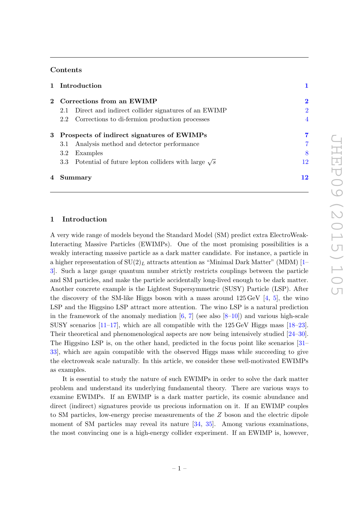## Contents

|                |                                              | 1 Introduction                                                 |                |
|----------------|----------------------------------------------|----------------------------------------------------------------|----------------|
|                | 2 Corrections from an EWIMP                  |                                                                | $\mathbf 2$    |
|                | 2.1                                          | Direct and indirect collider signatures of an EWIMP            | $\overline{2}$ |
|                |                                              | 2.2 Corrections to di-fermion production processes             | $\overline{4}$ |
|                | 3 Prospects of indirect signatures of EWIMPs |                                                                | 7              |
|                | 3.1                                          | Analysis method and detector performance                       | 7              |
|                | $3.2^{\circ}$                                | Examples                                                       | 8              |
|                |                                              | 3.3 Potential of future lepton colliders with large $\sqrt{s}$ | 12             |
| $\overline{4}$ | Summary                                      |                                                                | 12             |

#### <span id="page-1-0"></span>1 Introduction

A very wide range of models beyond the Standard Model (SM) predict extra ElectroWeak-Interacting Massive Particles (EWIMPs). One of the most promising possibilities is a weakly interacting massive particle as a dark matter candidate. For instance, a particle in a higher representation of  $SU(2)_L$  attracts attention as "Minimal Dark Matter" (MDM) [\[1–](#page-13-0) [3\]](#page-14-0). Such a large gauge quantum number strictly restricts couplings between the particle and SM particles, and make the particle accidentally long-lived enough to be dark matter. Another concrete example is the Lightest Supersymmetric (SUSY) Particle (LSP). After the discovery of the SM-like Higgs boson with a mass around  $125 \,\text{GeV}$  [\[4,](#page-14-1) [5\]](#page-14-2), the wino LSP and the Higgsino LSP attract more attention. The wino LSP is a natural prediction in the framework of the anomaly mediation  $[6, 7]$  $[6, 7]$  $[6, 7]$  (see also  $[8-10]$  $[8-10]$ ) and various high-scale SUSY scenarios  $[11-17]$  $[11-17]$ , which are all compatible with the  $125 \,\text{GeV}$  Higgs mass  $[18-23]$  $[18-23]$ . Their theoretical and phenomenological aspects are now being intensively studied [\[24–](#page-15-1)[30\]](#page-15-2). The Higgsino LSP is, on the other hand, predicted in the focus point like scenarios [\[31–](#page-15-3) [33\]](#page-15-4), which are again compatible with the observed Higgs mass while succeeding to give the electroweak scale naturally. In this article, we consider these well-motivated EWIMPs as examples.

It is essential to study the nature of such EWIMPs in order to solve the dark matter problem and understand its underlying fundamental theory. There are various ways to examine EWIMPs. If an EWIMP is a dark matter particle, its cosmic abundance and direct (indirect) signatures provide us precious information on it. If an EWIMP couples to SM particles, low-energy precise measurements of the Z boson and the electric dipole moment of SM particles may reveal its nature  $[34, 35]$  $[34, 35]$  $[34, 35]$ . Among various examinations, the most convincing one is a high-energy collider experiment. If an EWIMP is, however,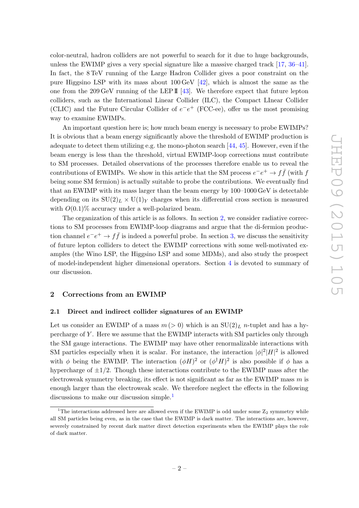color-neutral, hadron colliders are not powerful to search for it due to huge backgrounds, unless the EWIMP gives a very special signature like a massive charged track [\[17,](#page-14-8) [36–](#page-15-7)[41\]](#page-16-0). In fact, the 8 TeV running of the Large Hadron Collider gives a poor constraint on the pure Higgsino LSP with its mass about 100 GeV [\[42\]](#page-16-1), which is almost the same as the one from the 209 GeV running of the LEP  $\mathbb{I}$  [\[43\]](#page-16-2). We therefore expect that future lepton colliders, such as the International Linear Collider (ILC), the Compact LInear Collider (CLIC) and the Future Circular Collider of  $e^-e^+$  (FCC-ee), offer us the most promising way to examine EWIMPs.

An important question here is; how much beam energy is necessary to probe EWIMPs? It is obvious that a beam energy significantly above the threshold of EWIMP production is adequate to detect them utilizing e.g. the mono-photon search [\[44,](#page-16-3) [45\]](#page-16-4). However, even if the beam energy is less than the threshold, virtual EWIMP-loop corrections must contribute to SM processes. Detailed observations of the processes therefore enable us to reveal the contributions of EWIMPs. We show in this article that the SM process  $e^-e^+ \to f\bar{f}$  (with  $f$ being some SM fermion) is actually suitable to probe the contributions. We eventually find that an EWIMP with its mass larger than the beam energy by 100–1000 GeV is detectable depending on its  $SU(2)_L \times U(1)_Y$  charges when its differential cross section is measured with  $O(0.1)\%$  accuracy under a well-polarized beam.

The organization of this article is as follows. In section [2,](#page-2-0) we consider radiative corrections to SM processes from EWIMP-loop diagrams and argue that the di-fermion production channel  $e^-e^+ \to f\bar{f}$  is indeed a powerful probe. In section [3,](#page-7-0) we discuss the sensitivity of future lepton colliders to detect the EWIMP corrections with some well-motivated examples (the Wino LSP, the Higgsino LSP and some MDMs), and also study the prospect of model-independent higher dimensional operators. Section [4](#page-12-1) is devoted to summary of our discussion.

# <span id="page-2-0"></span>2 Corrections from an EWIMP

#### <span id="page-2-1"></span>2.1 Direct and indirect collider signatures of an EWIMP

Let us consider an EWIMP of a mass  $m (> 0)$  which is an  $SU(2)_L$  *n*-tuplet and has a hypercharge of Y . Here we assume that the EWIMP interacts with SM particles only through the SM gauge interactions. The EWIMP may have other renormalizable interactions with SM particles especially when it is scalar. For instance, the interaction  $|\phi|^2|H|^2$  is allowed with  $\phi$  being the EWIMP. The interaction  $(\phi H)^2$  or  $(\phi^{\dagger} H)^2$  is also possible if  $\phi$  has a hypercharge of  $\pm 1/2$ . Though these interactions contribute to the EWIMP mass after the electroweak symmetry breaking, its effect is not significant as far as the EWIMP mass  $m$  is enough larger than the electroweak scale. We therefore neglect the effects in the following discussions to make our discussion simple.<sup>[1](#page-2-2)</sup>

<span id="page-2-2"></span><sup>&</sup>lt;sup>1</sup>The interactions addressed here are allowed even if the EWIMP is odd under some  $Z_2$  symmetry while all SM particles being even, as in the case that the EWIMP is dark matter. The interactions are, however, severely constrained by recent dark matter direct detection experiments when the EWIMP plays the role of dark matter.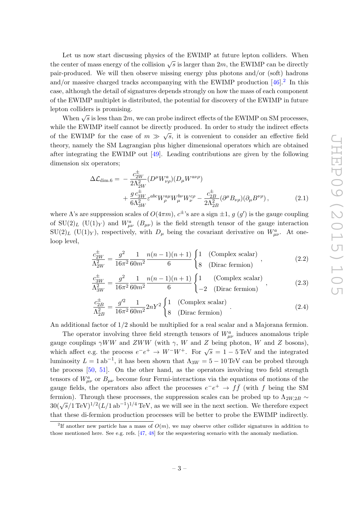Let us now start discussing physics of the EWIMP at future lepton colliders. When the center of mass energy of the collision  $\sqrt{s}$  is larger than 2m, the EWIMP can be directly pair-produced. We will then observe missing energy plus photons and/or (soft) hadrons and/or massive charged tracks accompanying with the EWIMP production  $[46]$ <sup>[2](#page-3-0)</sup>. In this case, although the detail of signatures depends strongly on how the mass of each component of the EWIMP multiplet is distributed, the potential for discovery of the EWIMP in future lepton colliders is promising.

When  $\sqrt{s}$  is less than 2m, we can probe indirect effects of the EWIMP on SM processes, while the EWIMP itself cannot be directly produced. In order to study the indirect effects of the EWIMP for the case of  $m \gg \sqrt{s}$ , it is convenient to consider an effective field theory, namely the SM Lagrangian plus higher dimensional operators which are obtained after integrating the EWIMP out [\[49\]](#page-16-6). Leading contributions are given by the following dimension six operators;

<span id="page-3-1"></span>
$$
\Delta \mathcal{L}_{\text{dim.6}} = -\frac{c_{2W}^{\pm}}{2\Lambda_{2W}^{2}} (D^{\mu} W_{\nu\rho}^{a})(D_{\mu} W^{a\nu\rho}) + \frac{g c_{3W}^{\pm}}{6\Lambda_{3W}^{2}} \varepsilon^{abc} W_{\rho}^{a\mu} W_{\mu}^{b\nu} W_{\nu}^{c\rho} - \frac{c_{2B}^{\pm}}{2\Lambda_{2B}^{2}} (\partial^{\mu} B_{\nu\rho})(\partial_{\mu} B^{\nu\rho}), \tag{2.1}
$$

where  $\Lambda$ 's are suppression scales of  $O(4\pi m)$ ,  $c^{\pm}$ 's are a sign  $\pm 1$ ,  $g(g')$  is the gauge coupling of SU(2)<sub>L</sub> (U(1)<sub>Y</sub>) and  $W_{\mu\nu}^a$  (B<sub> $\mu\nu$ </sub>) is the field strength tensor of the gauge interaction  $SU(2)_L$  (U(1)<sub>Y</sub>), respectively, with  $D_\mu$  being the covariant derivative on  $W^a_{\mu\nu}$ . At oneloop level,

$$
\frac{c_{2W}^{\pm}}{\Lambda_{2W}^2} = \frac{g^2}{16\pi^2} \frac{1}{60m^2} \frac{n(n-1)(n+1)}{6} \begin{cases} 1 & \text{(Complex scalar)}\\ 8 & \text{(Dirac fermion)} \end{cases},\tag{2.2}
$$

$$
\frac{c_{3W}^{\pm}}{\Lambda_{3W}^2} = \frac{g^2}{16\pi^2} \frac{1}{60m^2} \frac{n(n-1)(n+1)}{6} \begin{cases} 1 & \text{(Complex scalar)}\\ -2 & \text{(Dirac fermion)} \end{cases}, \tag{2.3}
$$

$$
\frac{c_{2B}^{\pm}}{\Lambda_{2B}^2} = \frac{g'^2}{16\pi^2} \frac{1}{60m^2} 2nY^2 \begin{cases} 1 & \text{(Complex scalar)}\\ 8 & \text{(Dirac fermion)} \end{cases} . \tag{2.4}
$$

An additional factor of 1/2 should be multiplied for a real scalar and a Majorana fermion.

The operator involving three field strength tensors of  $W_{\mu\nu}^a$  induces anomalous triple gauge couplings  $\gamma WW$  and  $ZWW$  (with  $\gamma$ , W and Z being photon, W and Z bosons), which affect e.g. the process  $e^-e^+ \rightarrow W^-W^+$ . For  $\sqrt{s} = 1 - 5 \text{ TeV}$  and the integrated luminosity  $L = 1$  ab<sup>-1</sup>, it has been shown that  $\Lambda_{3W} = 5 - 10 \text{ TeV}$  can be probed through the process [\[50,](#page-16-7) [51\]](#page-16-8). On the other hand, as the operators involving two field strength tensors of  $W_{\mu\nu}^a$  or  $B_{\mu\nu}$  become four Fermi-interactions via the equations of motions of the gauge fields, the operators also affect the processes  $e^-e^+ \rightarrow f\bar{f}$  (with f being the SM fermion). Through these processes, the suppression scales can be probed up to  $\Lambda_{2W,2B} \sim$  $30(\sqrt{s}/1 \,\mathrm{TeV})^{1/2} (L/1 \,\mathrm{ab}^{-1})^{1/4} \,\mathrm{TeV}$ , as we will see in the next section. We therefore expect that these di-fermion production processes will be better to probe the EWIMP indirectly.

<span id="page-3-0"></span><sup>&</sup>lt;sup>2</sup>If another new particle has a mass of  $O(m)$ , we may observe other collider signatures in addition to those mentioned here. See e.g. refs. [\[47,](#page-16-9) [48\]](#page-16-10) for the sequestering scenario with the anomaly mediation.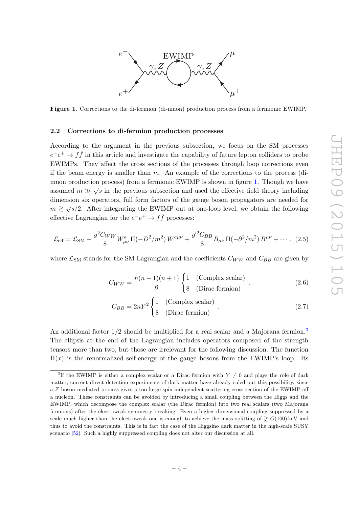

<span id="page-4-1"></span>Figure 1. Corrections to the di-fermion (di-muon) production process from a fermionic EWIMP.

#### <span id="page-4-0"></span>2.2 Corrections to di-fermion production processes

According to the argument in the previous subsection, we focus on the SM processes  $e^-e^+ \to f\bar{f}$  in this article and investigate the capability of future lepton colliders to probe EWIMPs. They affect the cross sections of the processes through loop corrections even if the beam energy is smaller than  $m$ . An example of the corrections to the process (dimuon production process) from a fermionic EWIMP is shown in figure [1.](#page-4-1) Though we have assumed  $m \gg \sqrt{s}$  in the previous subsection and used the effective field theory including dimension six operators, full form factors of the gauge boson propagators are needed for  $m \gtrsim \sqrt{s}/2$ . After integrating the EWIMP out at one-loop level, we obtain the following effective Lagrangian for the  $e^-e^+ \to f\bar{f}$  processes:

$$
\mathcal{L}_{\text{eff}} = \mathcal{L}_{\text{SM}} + \frac{g^2 C_{WW}}{8} W_{\mu\nu}^a \, \Pi(-D^2/m^2) \, W^{a\mu\nu} + \frac{g'^2 C_{BB}}{8} B_{\mu\nu} \, \Pi(-\partial^2/m^2) \, B^{\mu\nu} + \cdots, \tag{2.5}
$$

where  $\mathcal{L}_{\text{SM}}$  stands for the SM Lagrangian and the coefficients  $C_{WW}$  and  $C_{BB}$  are given by

<span id="page-4-3"></span>
$$
C_{WW} = \frac{n(n-1)(n+1)}{6} \begin{cases} 1 & \text{(Complex scalar)}\\ 8 & \text{(Dirac fermion)} \end{cases}, \tag{2.6}
$$

<span id="page-4-4"></span>
$$
C_{BB} = 2nY^2 \begin{cases} 1 & \text{(Complex scalar)}\\ 8 & \text{(Dirac fermion)} \end{cases} . \tag{2.7}
$$

An additional factor  $1/2$  should be multiplied for a real scalar and a Majorana fermion.<sup>[3](#page-4-2)</sup> The ellipsis at the end of the Lagrangian includes operators composed of the strength tensors more than two, but those are irrelevant for the following discussion. The function  $\Pi(x)$  is the renormalized self-energy of the gauge bosons from the EWIMP's loop. Its

<span id="page-4-2"></span><sup>&</sup>lt;sup>3</sup>If the EWIMP is either a complex scalar or a Dirac fermion with  $Y \neq 0$  and plays the role of dark matter, current direct detection experiments of dark matter have already ruled out this possibility, since a Z boson mediated process gives a too large spin-independent scattering cross section of the EWIMP off a nucleon. These constraints can be avoided by introducing a small coupling between the Higgs and the EWIMP, which decompose the complex scalar (the Dirac fermion) into two real scalars (two Majorana fermions) after the electroweak symmetry breaking. Even a higher dimensional coupling suppressed by a scale much higher than the electroweak one is enough to achieve the mass splitting of  $\gtrsim O(100)$  keV and thus to avoid the constraints. This is in fact the case of the Higgsino dark matter in the high-scale SUSY scenario [\[52\]](#page-16-11). Such a highly suppressed coupling does not alter our discussion at all.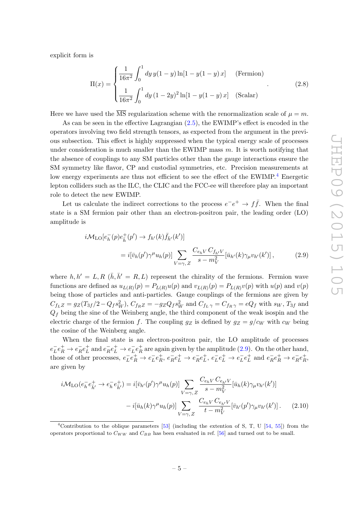explicit form is

$$
\Pi(x) = \begin{cases}\n\frac{1}{16\pi^2} \int_0^1 dy y (1 - y) \ln[1 - y(1 - y)x] & \text{(Fermion)} \\
\frac{1}{16\pi^2} \int_0^1 dy (1 - 2y)^2 \ln[1 - y(1 - y)x] & \text{(Scalar)}\n\end{cases}
$$
\n(2.8)

Here we have used the  $\overline{\text{MS}}$  regularization scheme with the renormalization scale of  $\mu = m$ .

As can be seen in the effective Lagrangian [\(2.5\)](#page-4-3), the EWIMP's effect is encoded in the operators involving two field strength tensors, as expected from the argument in the previous subsection. This effect is highly suppressed when the typical energy scale of processes under consideration is much smaller than the EWIMP mass  $m$ . It is worth notifying that the absence of couplings to any SM particles other than the gauge interactions ensure the SM symmetry like flavor, CP and custodial symmetries, etc. Precision measurements at low energy experiments are thus not efficient to see the effect of the EWIMP.<sup>[4](#page-5-0)</sup> Energetic lepton colliders such as the ILC, the CLIC and the FCC-ee will therefore play an important role to detect the new EWIMP.

Let us calculate the indirect corrections to the process  $e^-e^+ \rightarrow f\bar{f}$ . When the final state is a SM fermion pair other than an electron-positron pair, the leading order (LO) amplitude is

<span id="page-5-1"></span>
$$
i\mathcal{M}_{\text{LO}}[e_{h}^{-}(p)e_{h}^{+}(p') \to f_{h'}(k)\bar{f}_{h'}(k')]
$$
  
=  $i[\bar{v}_{h}(p')\gamma^{\mu}u_{h}(p)] \sum_{V=\gamma,Z} \frac{C_{e_{h}V}C_{f_{h'}V}}{s-m_{V}^{2}}[\bar{u}_{h'}(k)\gamma_{\mu}v_{h'}(k')],$  (2.9)

where  $h, h' = L, R$  ( $\bar{h}, \bar{h}' = R, L$ ) represent the chirality of the fermions. Fermion wave functions are defined as  $u_{L(R)}(p) = P_{L(R)}u(p)$  and  $v_{L(R)}(p) = P_{L(R)}v(p)$  with  $u(p)$  and  $v(p)$ being those of particles and anti-particles. Gauge couplings of the fermions are given by  $C_{f_L Z} = g_Z(T_{3f}/2 - Q_f s_W^2)$ ,  $C_{f_R Z} = -g_Z Q_f s_W^2$  and  $C_{f_L \gamma} = C_{f_R \gamma} = eQ_f$  with  $s_W$ ,  $T_{3f}$  and  $Q_f$  being the sine of the Weinberg angle, the third component of the weak isospin and the electric charge of the fermion f. The coupling  $g_Z$  is defined by  $g_Z = g/c_W$  with  $c_W$  being the cosine of the Weinberg angle.

When the final state is an electron-positron pair, the LO amplitude of processes  $e^-_L$  $L^-e_R^+ \rightarrow e_R^ Re_L^+$  $_L^+$  and  $e_R^ Re_L^+ \rightarrow e_L^ _{L}^{-}e_{R}^{+}$  $R^{\dagger}$  are again given by the amplitude [\(2.9\)](#page-5-1). On the other hand, those of other processes,  $e_L^ \bar{L}e_R^+ \rightarrow e_L^ \bar{L}e_R^+$  $\frac{+}{R}$ ,  $e_R^ R^- e^+_L \rightarrow e^-_R$  $Re_L^+$  $_L^+$ ,  $e_L^ \bar{L}e^+_L \rightarrow e^-_L$  $\bar{L}e^+_{L}$  $e_R^+$  and  $e_R^ R^-e^+_R \rightarrow e^-_R$  $Re_R^+$  $\overset{+}{R},$ are given by

<span id="page-5-2"></span>
$$
i\mathcal{M}_{LO}(e_h^- e_h^+ \to e_h^- e_h^+) = i[\bar{v}_{h'}(p')\gamma^\mu u_h(p)] \sum_{V=\gamma, Z} \frac{C_{e_h V} C_{e_{h'} V}}{s - m_V^2} [\bar{u}_h(k)\gamma_\mu v_{h'}(k')]
$$

$$
- i[\bar{u}_h(k)\gamma^\mu u_h(p)] \sum_{V=\gamma, Z} \frac{C_{e_h V} C_{e_{h'} V}}{t - m_V^2} [\bar{v}_{h'}(p')\gamma_\mu v_{h'}(k')]. \tag{2.10}
$$

<span id="page-5-0"></span><sup>&</sup>lt;sup>4</sup>Contribution to the oblique parameters  $[53]$  (including the extention of S, T, U  $[54, 55]$  $[54, 55]$  $[54, 55]$ ) from the operators proportional to  $C_{WW}$  and  $C_{BB}$  has been evaluated in ref. [\[56\]](#page-16-15) and turned out to be small.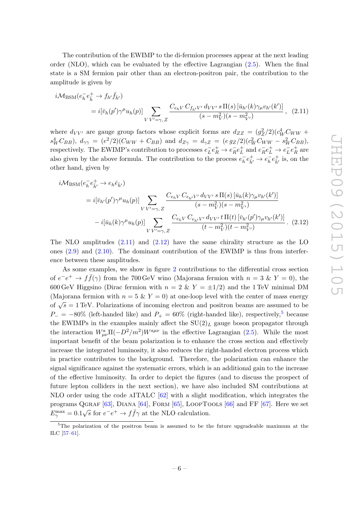The contribution of the EWIMP to the di-fermion processes appear at the next leading order (NLO), which can be evaluated by the effective Lagrangian [\(2.5\)](#page-4-3). When the final state is a SM fermion pair other than an electron-positron pair, the contribution to the amplitude is given by

<span id="page-6-0"></span>
$$
i\mathcal{M}_{\text{BSM}}(e_h^- e_h^+ \to f_{h'} \bar{f}_{h'})
$$
  
=  $i[\bar{v}_h(p')\gamma^\mu u_h(p)] \sum_{V V' = \gamma, Z} \frac{C_{e_h V} C_{f_{h'} V'} d_{V V'} s \Pi(s) [\bar{u}_{h'}(k)\gamma_\mu v_{h'}(k')]}{(s - m_V^2)(s - m_{V'}^2)},$  (2.11)

where  $d_{VV'}$  are gauge group factors whose explicit forms are  $d_{ZZ} = (g_Z^2/2)(c_W^4 C_{WW} +$  $s_W^4 C_{BB}$ ),  $d_{\gamma\gamma} = (e^2/2)(C_{WW} + C_{BB})$  and  $d_{Z\gamma} = d_{\gamma Z} = (e g_Z/2)(c_W^2 C_{WW} - s_W^2 C_{BB})$ , respectively. The EWIMP's contribution to processes  $e_L^+$  $\bar{L}e_R^+ \rightarrow e_R^ Re_L^+$  $e^-_L$  and  $e^-_R$  $Re_L^+ \rightarrow e_L^ \bar{L}e_R^+$  $R^+$  are also given by the above formula. The contribution to the process  $e_h^ \overline{h} e^+_{\overline{h}'} \to e^-_{\overline{h}}$  $\bar{h}e^{\pm}_{\bar{h}'}$  is, on the other hand, given by

<span id="page-6-1"></span>
$$
i\mathcal{M}_{BSM}(e_h^- e_h^+ \to e_h \bar{e}_{\bar{h}'})
$$
  
=  $i[\bar{v}_{h'}(p')\gamma^{\mu}u_h(p)] \sum_{V V' = \gamma, Z} \frac{C_{e_h V} C_{e_{h'} V'} d_{V V'} s \Pi(s) [\bar{u}_h(k)\gamma_{\mu}v_{h'}(k')]}{(s - m_V^2)(s - m_{V'}^2)}$   

$$
- i[\bar{u}_h(k)\gamma^{\mu}u_h(p)] \sum_{V V' = \gamma, Z} \frac{C_{e_h V} C_{e_{h'} V'} d_{V V'} t \Pi(t) [\bar{v}_{h'}(p')\gamma_{\mu}v_{h'}(k')]}{(t - m_V^2)(t - m_{V'}^2)}.
$$
 (2.12)

The NLO amplitudes  $(2.11)$  and  $(2.12)$  have the same chirality structure as the LO ones  $(2.9)$  and  $(2.10)$ . The dominant contribution of the EWIMP is thus from interference between these amplitudes.

As some examples, we show in figure [2](#page-7-2) contributions to the differential cross section of  $e^-e^+ \to f\bar{f}(\gamma)$  from the 700 GeV wino (Majorana fermion with  $n = 3 \& Y = 0$ ), the 600 GeV Higgsino (Dirac fermion with  $n = 2 \& Y = \pm 1/2$ ) and the 1 TeV minimal DM (Majorana fermion with  $n = 5 \& Y = 0$ ) at one-loop level with the center of mass energy of  $\sqrt{s} = 1$  TeV. Polarizations of incoming electron and positron beams are assumed to be  $P_- = -80\%$  (left-handed like) and  $P_+ = 60\%$  (right-handed like), respectively,<sup>[5](#page-6-2)</sup> because the EWIMPs in the examples mainly affect the  $SU(2)_L$  gauge boson propagator through the interaction  $W_{\mu\nu}^a \Pi(-D^2/m^2)W^{a\mu\nu}$  in the effective Lagrangian [\(2.5\)](#page-4-3). While the most important benefit of the beam polarization is to enhance the cross section and effectively increase the integrated luminosity, it also reduces the right-handed electron process which in practice contributes to the background. Therefore, the polarization can enhance the signal significance against the systematic errors, which is an additional gain to the increase of the effective luminosity. In order to depict the figures (and to discuss the prospect of future lepton colliders in the next section), we have also included SM contributions at NLO order using the code aITALC [\[62\]](#page-17-0) with a slight modification, which integrates the programs QGRAF  $[63]$ , DIANA  $[64]$ , FORM  $[65]$ , LOOPTOOLS  $[66]$  and FF  $[67]$ . Here we set  $E_{\gamma}^{\max} = 0.1\sqrt{s}$  for  $e^-e^+ \to f\bar{f}\gamma$  at the NLO calculation.

<span id="page-6-2"></span> $5$ The polarization of the positron beam is assumed to be the future upgradeable maximum at the ILC [\[57–](#page-16-16)[61\]](#page-17-6).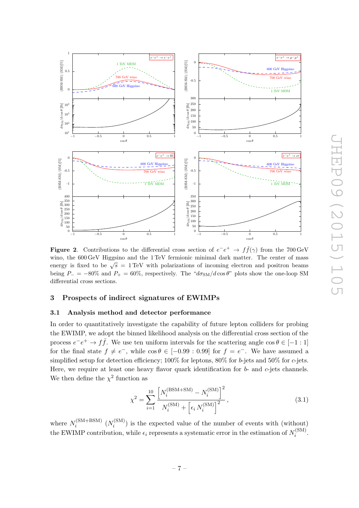

<span id="page-7-2"></span>**Figure 2.** Contributions to the differential cross section of  $e^-e^+ \rightarrow f\bar{f}(\gamma)$  from the 700 GeV wino, the 600 GeV Higgsino and the 1 TeV fermionic minimal dark matter. The center of mass energy is fixed to be  $\sqrt{s} = 1 \text{ TeV}$  with polarizations of incoming electron and positron beams being  $P_ - = -80\%$  and  $P_ + = 60\%$ , respectively. The " $d\sigma_{\rm SM}/d\cos\theta$ " plots show the one-loop SM differential cross sections.

#### <span id="page-7-0"></span>3 Prospects of indirect signatures of EWIMPs

## <span id="page-7-1"></span>3.1 Analysis method and detector performance

In order to quantitatively investigate the capability of future lepton colliders for probing the EWIMP, we adopt the binned likelihood analysis on the differential cross section of the process  $e^-e^+ \to f\bar{f}$ . We use ten uniform intervals for the scattering angle  $\cos \theta \in [-1:1]$ for the final state  $f \neq e^-$ , while  $\cos \theta \in [-0.99 : 0.99]$  for  $f = e^-$ . We have assumed a simplified setup for detection efficiency;  $100\%$  for leptons,  $80\%$  for b-jets and  $50\%$  for c-jets. Here, we require at least one heavy flavor quark identification for  $b$ - and  $c$ -jets channels. We then define the  $\chi^2$  function as

<span id="page-7-3"></span>
$$
\chi^{2} = \sum_{i=1}^{10} \frac{\left[ N_{i}^{(\text{BSM} + \text{SM})} - N_{i}^{(\text{SM})} \right]^{2}}{N_{i}^{(\text{SM})} + \left[ \epsilon_{i} N_{i}^{(\text{SM})} \right]^{2}},
$$
\n(3.1)

where  $N_i^{\text{(SM+BSM)}}$  $N_i^{\text{(SM+BSM)}}$   $(N_i^{\text{(SM)}})$  $i_i^{\text{(SM)}}$ ) is the expected value of the number of events with (without) the EWIMP contribution, while  $\epsilon_i$  represents a systematic error in the estimation of  $N_i^{\text{(SM)}}$  $\frac{i^{(5N)}}{i}$ .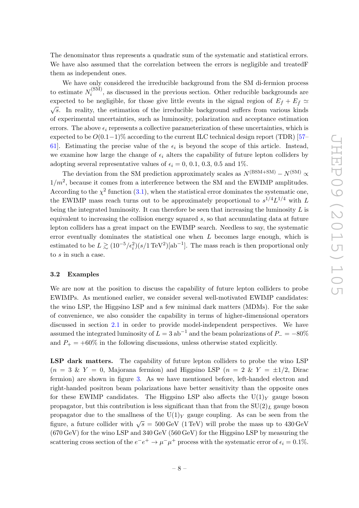The denominator thus represents a quadratic sum of the systematic and statistical errors. We have also assumed that the correlation between the errors is negligible and treated F them as independent ones.

We have only considered the irreducible background from the SM di-fermion process to estimate  $N_i^{\text{(SM)}}$  $i_i^{(SM)}$ , as discussed in the previous section. Other reducible backgrounds are expected to be negligible, for those give little events in the signal region of  $E_f + E_{\bar{f}} \simeq$  $\sqrt{s}$ . In reality, the estimation of the irreducible background suffers from various kinds of experimental uncertainties, such as luminosity, polarization and acceptance estimation errors. The above  $\epsilon_i$  represents a collective parameterization of these uncertainties, which is expected to be  $O(0.1-1)\%$  according to the current ILC technical design report (TDR) [\[57–](#page-16-16) 61. Estimating the precise value of the  $\epsilon_i$  is beyond the scope of this article. Instead, we examine how large the change of  $\epsilon_i$  alters the capability of future lepton colliders by adopting several representative values of  $\epsilon_i = 0, 0.1, 0.3, 0.5$  and 1%.

The deviation from the SM prediction approximately scales as  $N^{(\text{BSM}+\text{SM})} - N^{(\text{SM})} \propto$  $1/m^2$ , because it comes from a interference between the SM and the EWIMP amplitudes. According to the  $\chi^2$  function [\(3.1\)](#page-7-3), when the statistical error dominates the systematic one, the EWIMP mass reach turns out to be approximately proportional to  $s^{1/4}L^{1/4}$  with L being the integrated luminosity. It can therefore be seen that increasing the luminosity  $L$  is equivalent to increasing the collision energy squared s, so that accumulating data at future lepton colliders has a great impact on the EWIMP search. Needless to say, the systematic error eventually dominates the statistical one when  $L$  becomes large enough, which is estimated to be  $L \gtrsim (10^{-5}/\epsilon_i^2)(s/1 \text{ TeV}^2)[\text{ab}^{-1}]$ . The mass reach is then proportional only to s in such a case.

## <span id="page-8-0"></span>3.2 Examples

We are now at the position to discuss the capability of future lepton colliders to probe EWIMPs. As mentioned earlier, we consider several well-motivated EWIMP candidates: the wino LSP, the Higgsino LSP and a few minimal dark matters (MDMs). For the sake of convenience, we also consider the capability in terms of higher-dimensional operators discussed in section [2.1](#page-2-1) in order to provide model-independent perspectives. We have assumed the integrated luminosity of  $L = 3$  ab<sup>-1</sup> and the beam polarizations of  $P_- = -80\%$ and  $P_+ = +60\%$  in the following discussions, unless otherwise stated explicitly.

LSP dark matters. The capability of future lepton colliders to probe the wino LSP  $(n = 3 \& Y = 0,$  Majorana fermion) and Higgsino LSP  $(n = 2 \& Y = \pm 1/2,$  Dirac fermion) are shown in figure [3.](#page-9-0) As we have mentioned before, left-handed electron and right-handed positron beam polarizations have better sensitivity than the opposite ones for these EWIMP candidates. The Higgsino LSP also affects the  $U(1)_Y$  gauge boson propagator, but this contribution is less significant than that from the  $SU(2)_L$  gauge boson propagator due to the smallness of the  $U(1)_Y$  gauge coupling. As can be seen from the figure, a future collider with  $\sqrt{s} = 500 \,\text{GeV}$  (1 TeV) will probe the mass up to 430 GeV  $(670 \,\mathrm{GeV})$  for the wino LSP and 340 GeV (560 GeV) for the Higgsino LSP by measuring the scattering cross section of the  $e^-e^+ \to \mu^- \mu^+$  process with the systematic error of  $\epsilon_i = 0.1\%$ .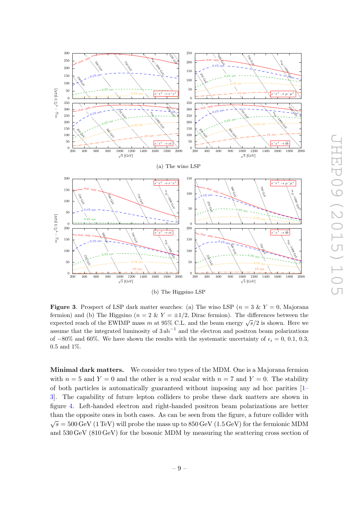

<span id="page-9-0"></span>**Figure 3.** Prospect of LSP dark matter searches: (a) The wino LSP ( $n = 3 \& Y = 0$ , Majorana fermion) and (b) The Higgsino ( $n = 2 \& Y = \pm 1/2$ , Dirac fermion). The differences between the expected reach of the EWIMP mass m at 95% C.L. and the beam energy  $\sqrt{s}/2$  is shown. Here we assume that the integrated luminosity of  $3ab^{-1}$  and the electron and positron beam polarizations of  $-80\%$  and 60%. We have shown the results with the systematic uncertainty of  $\epsilon_i = 0, 0.1, 0.3$ , 0.5 and 1%.

Minimal dark matters. We consider two types of the MDM. One is a Majorana fermion with  $n = 5$  and  $Y = 0$  and the other is a real scalar with  $n = 7$  and  $Y = 0$ . The stability of both particles is automatically guaranteed without imposing any ad hoc parities [\[1–](#page-13-0) [3\]](#page-14-0). The capability of future lepton colliders to probe these dark matters are shown in figure [4.](#page-10-0) Left-handed electron and right-handed positron beam polarizations are better than the opposite ones in both cases. As can be seen from the figure, a future collider with  $\sqrt{s} = 500 \,\text{GeV}$  (1 TeV) will probe the mass up to 850 GeV (1.5 GeV) for the fermionic MDM and 530 GeV (810 GeV) for the bosonic MDM by measuring the scattering cross section of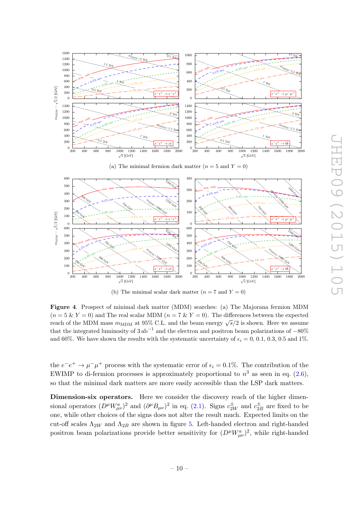

(b) The minimal scalar dark matter  $(n = 7 \text{ and } Y = 0)$ 

<span id="page-10-0"></span>Figure 4. Prospect of minimal dark matter (MDM) searches: (a) The Majorana fermion MDM  $(n = 5 \& Y = 0)$  and The real scalar MDM  $(n = 7 \& Y = 0)$ . The differences between the expected reach of the MDM mass  $m_{\text{MDM}}$  at 95% C.L. and the beam energy  $\sqrt{s}/2$  is shown. Here we assume that the integrated luminosity of  $3ab^{-1}$  and the electron and positron beam polarizations of  $-80\%$ and 60%. We have shown the results with the systematic uncertainty of  $\epsilon_i = 0, 0.1, 0.3, 0.5$  and 1%.

the  $e^-e^+ \to \mu^- \mu^+$  process with the systematic error of  $\epsilon_i = 0.1\%$ . The contribution of the EWIMP to di-fermion processes is approximately proportional to  $n^3$  as seen in eq. [\(2.6\)](#page-4-4), so that the minimal dark matters are more easily accessible than the LSP dark matters.

Dimension-six operators. Here we consider the discovery reach of the higher dimensional operators  $(D^{\mu}W_{\mu\nu}^{a})^{2}$  and  $(\partial^{\mu}B_{\mu\nu})^{2}$  in eq. [\(2.1\)](#page-3-1). Signs  $c_{2W}^{\pm}$  and  $c_{2Z}^{\pm}$  $\frac{1}{2B}$  are fixed to be one, while other choices of the signs does not alter the result much. Expected limits on the cut-off scales  $\Lambda_{2W}$  and  $\Lambda_{2B}$  are shown in figure [5.](#page-11-0) Left-handed electron and right-handed positron beam polarizations provide better sensitivity for  $(D^{\mu}W^{a}_{\mu\nu})^2$ , while right-handed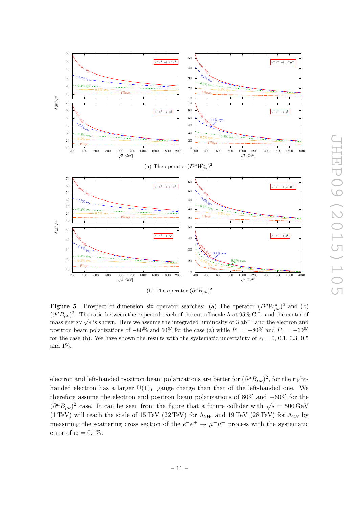

<span id="page-11-0"></span>**Figure 5.** Prospect of dimension six operator searches: (a) The operator  $(D^{\mu}W_{\mu\nu}^{a})^{2}$  and (b)  $(\partial^{\mu}B_{\mu\nu})^2$ . The ratio between the expected reach of the cut-off scale  $\Lambda$  at 95% C.L. and the center of mass energy  $\sqrt{s}$  is shown. Here we assume the integrated luminosity of 3 ab<sup>-1</sup> and the electron and positron beam polarizations of  $-80\%$  and 60% for the case (a) while  $P_$  =  $+80\%$  and  $P_$  =  $-60\%$ for the case (b). We have shown the results with the systematic uncertainty of  $\epsilon_i = 0, 0.1, 0.3, 0.5$ and 1%.

electron and left-handed positron beam polarizations are better for  $(\partial^{\mu}B_{\mu\nu})^2$ , for the righthanded electron has a larger  $U(1)_Y$  gauge charge than that of the left-handed one. We therefore assume the electron and positron beam polarizations of 80% and −60% for the  $(\partial^{\mu}B_{\mu\nu})^2$  case. It can be seen from the figure that a future collider with  $\sqrt{s} = 500 \,\text{GeV}$ (1 TeV) will reach the scale of 15 TeV (22 TeV) for  $\Lambda_{2W}$  and 19 TeV (28 TeV) for  $\Lambda_{2B}$  by measuring the scattering cross section of the  $e^-e^+ \rightarrow \mu^- \mu^+$  process with the systematic error of  $\epsilon_i = 0.1\%.$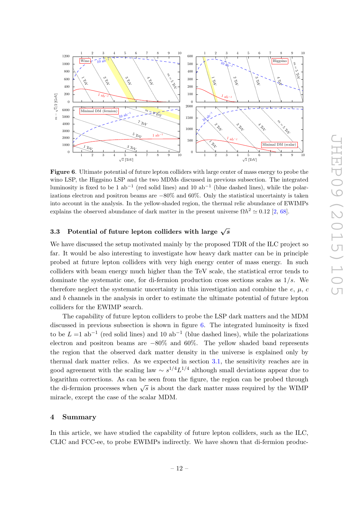

<span id="page-12-2"></span>Figure 6. Ultimate potential of future lepton colliders with large center of mass energy to probe the wino LSP, the Higgsino LSP and the two MDMs discussed in previous subsection. The integrated luminosity is fixed to be 1 ab<sup>-1</sup> (red solid lines) and 10 ab<sup>-1</sup> (blue dashed lines), while the polarizations electron and positron beams are −80% and 60%. Only the statistical uncertainty is taken into account in the analysis. In the yellow-shaded region, the thermal relic abundance of EWIMPs explains the observed abundance of dark matter in the present universe  $\Omega h^2 \simeq 0.12$  [\[2,](#page-13-1) [68\]](#page-17-7).

#### <span id="page-12-0"></span>3.3 Potential of future lepton colliders with large  $\sqrt{s}$

We have discussed the setup motivated mainly by the proposed TDR of the ILC project so far. It would be also interesting to investigate how heavy dark matter can be in principle probed at future lepton colliders with very high energy center of mass energy. In such colliders with beam energy much higher than the TeV scale, the statistical error tends to dominate the systematic one, for di-fermion production cross sections scales as  $1/s$ . We therefore neglect the systematic uncertainty in this investigation and combine the  $e, \mu, c$ and b channels in the analysis in order to estimate the ultimate potential of future lepton colliders for the EWIMP search.

The capability of future lepton colliders to probe the LSP dark matters and the MDM discussed in previous subsection is shown in figure [6.](#page-12-2) The integrated luminosity is fixed to be  $L = 1$  ab<sup>-1</sup> (red solid lines) and 10 ab<sup>-1</sup> (blue dashed lines), while the polarizations electron and positron beams are −80% and 60%. The yellow shaded band represents the region that the observed dark matter density in the universe is explained only by thermal dark matter relics. As we expected in section [3.1,](#page-7-1) the sensitivity reaches are in good agreement with the scaling law  $\sim s^{1/4} L^{1/4}$  although small deviations appear due to logarithm corrections. As can be seen from the figure, the region can be probed through the di-fermion processes when  $\sqrt{s}$  is about the dark matter mass required by the WIMP miracle, except the case of the scalar MDM.

#### <span id="page-12-1"></span>4 Summary

In this article, we have studied the capability of future lepton colliders, such as the ILC, CLIC and FCC-ee, to probe EWIMPs indirectly. We have shown that di-fermion produc-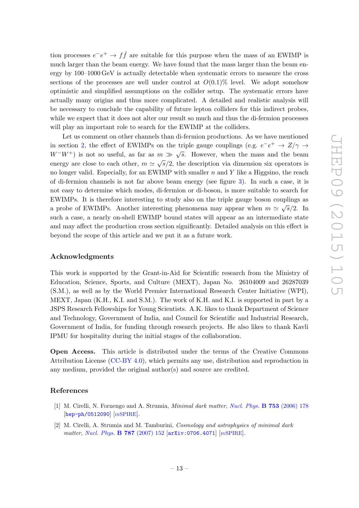tion processes  $e^-e^+ \to f\bar{f}$  are suitable for this purpose when the mass of an EWIMP is much larger than the beam energy. We have found that the mass larger than the beam energy by 100–1000 GeV is actually detectable when systematic errors to measure the cross sections of the processes are well under control at  $O(0.1)\%$  level. We adopt somehow optimistic and simplified assumptions on the collider setup. The systematic errors have actually many origins and thus more complicated. A detailed and realistic analysis will be necessary to conclude the capability of future lepton colliders for this indirect probes, while we expect that it does not alter our result so much and thus the di-fermion processes will play an important role to search for the EWIMP at the colliders.

Let us comment on other channels than di-fermion productions. As we have mentioned in section [2,](#page-2-0) the effect of EWIMPs on the triple gauge couplings (e.g.  $e^-e^+$   $\rightarrow Z/\gamma \rightarrow$  $W-W^+$ ) is not so useful, as far as  $m \gg \sqrt{s}$ . However, when the mass and the beam energy are close to each other,  $m \simeq \sqrt{s}/2$ , the description via dimension six operators is no longer valid. Especially, for an EWIMP with smaller  $n$  and  $Y$  like a Higgsino, the reach of di-fermion channels is not far above beam energy (see figure [3\)](#page-9-0). In such a case, it is not easy to determine which modes, di-fermion or di-boson, is more suitable to search for EWIMPs. It is therefore interesting to study also on the triple gauge boson couplings as a probe of EWIMPs. Another interesting phenomena may appear when  $m \simeq \sqrt{s}/2$ . In such a case, a nearly on-shell EWIMP bound states will appear as an intermediate state and may affect the production cross section significantly. Detailed analysis on this effect is beyond the scope of this article and we put it as a future work.

#### Acknowledgments

This work is supported by the Grant-in-Aid for Scientific research from the Ministry of Education, Science, Sports, and Culture (MEXT), Japan No. 26104009 and 26287039 (S.M.), as well as by the World Premier International Research Center Initiative (WPI), MEXT, Japan (K.H., K.I. and S.M.). The work of K.H. and K.I. is supported in part by a JSPS Research Fellowships for Young Scientists. A.K. likes to thank Department of Science and Technology, Government of India, and Council for Scientific and Industrial Research, Government of India, for funding through research projects. He also likes to thank Kavli IPMU for hospitality during the initial stages of the collaboration.

Open Access. This article is distributed under the terms of the Creative Commons Attribution License [\(CC-BY 4.0\)](http://creativecommons.org/licenses/by/4.0/), which permits any use, distribution and reproduction in any medium, provided the original author(s) and source are credited.

#### References

- <span id="page-13-0"></span>[1] M. Cirelli, N. Fornengo and A. Strumia, Minimal dark matter, [Nucl. Phys.](http://dx.doi.org/10.1016/j.nuclphysb.2006.07.012) B 753 (2006) 178 [[hep-ph/0512090](http://arxiv.org/abs/hep-ph/0512090)] [IN[SPIRE](http://inspirehep.net/search?p=find+EPRINT+hep-ph/0512090)].
- <span id="page-13-1"></span>[2] M. Cirelli, A. Strumia and M. Tamburini, Cosmology and astrophysics of minimal dark matter, [Nucl. Phys.](http://dx.doi.org/10.1016/j.nuclphysb.2007.07.023) **B 787** (2007) 152 [[arXiv:0706.4071](http://arxiv.org/abs/0706.4071)] [IN[SPIRE](http://inspirehep.net/search?p=find+EPRINT+arXiv:0706.4071)].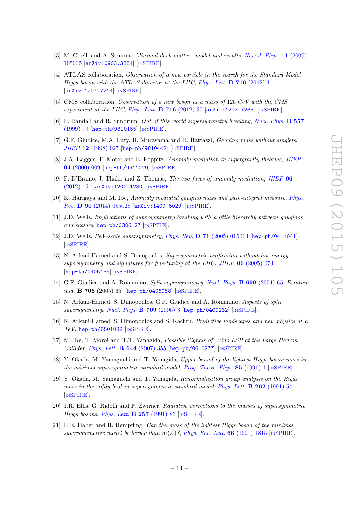- <span id="page-14-0"></span>[3] M. Cirelli and A. Strumia, *Minimal dark matter: model and results, [New J. Phys.](http://dx.doi.org/10.1088/1367-2630/11/10/105005)* **11** (2009) [105005](http://dx.doi.org/10.1088/1367-2630/11/10/105005) [[arXiv:0903.3381](http://arxiv.org/abs/0903.3381)] [IN[SPIRE](http://inspirehep.net/search?p=find+EPRINT+arXiv:0903.3381)].
- <span id="page-14-1"></span>[4] ATLAS collaboration, *Observation of a new particle in the search for the Standard Model* Higgs boson with the ATLAS detector at the LHC, [Phys. Lett.](http://dx.doi.org/10.1016/j.physletb.2012.08.020) **B** 716 (2012) 1 [[arXiv:1207.7214](http://arxiv.org/abs/1207.7214)] [IN[SPIRE](http://inspirehep.net/search?p=find+EPRINT+arXiv:1207.7214)].
- <span id="page-14-2"></span>[5] CMS collaboration, Observation of a new boson at a mass of 125 GeV with the CMS experiment at the LHC, [Phys. Lett.](http://dx.doi.org/10.1016/j.physletb.2012.08.021) **B** 716 (2012) 30  $\left[$ [arXiv:1207.7235](http://arxiv.org/abs/1207.7235) $\right]$   $\left[$ IN[SPIRE](http://inspirehep.net/search?p=find+EPRINT+arXiv:1207.7235).
- <span id="page-14-3"></span>[6] L. Randall and R. Sundrum, Out of this world supersymmetry breaking, [Nucl. Phys.](http://dx.doi.org/10.1016/S0550-3213(99)00359-4) B 557 [\(1999\) 79](http://dx.doi.org/10.1016/S0550-3213(99)00359-4) [[hep-th/9810155](http://arxiv.org/abs/hep-th/9810155)] [IN[SPIRE](http://inspirehep.net/search?p=find+EPRINT+hep-th/9810155)].
- <span id="page-14-4"></span>[7] G.F. Giudice, M.A. Luty, H. Murayama and R. Rattazzi, Gaugino mass without singlets, JHEP 12 [\(1998\) 027](http://dx.doi.org/10.1088/1126-6708/1998/12/027) [[hep-ph/9810442](http://arxiv.org/abs/hep-ph/9810442)] [IN[SPIRE](http://inspirehep.net/search?p=find+EPRINT+hep-ph/9810442)].
- <span id="page-14-5"></span>[8] J.A. Bagger, T. Moroi and E. Poppitz, Anomaly mediation in supergravity theories, [JHEP](http://dx.doi.org/10.1088/1126-6708/2000/04/009) 04 [\(2000\) 009](http://dx.doi.org/10.1088/1126-6708/2000/04/009) [[hep-th/9911029](http://arxiv.org/abs/hep-th/9911029)] [IN[SPIRE](http://inspirehep.net/search?p=find+EPRINT+hep-th/9911029)].
- [9] F. D'Eramo, J. Thaler and Z. Thomas, The two faces of anomaly mediation, [JHEP](http://dx.doi.org/10.1007/JHEP06(2012)151) 06 [\(2012\) 151](http://dx.doi.org/10.1007/JHEP06(2012)151) [[arXiv:1202.1280](http://arxiv.org/abs/1202.1280)] [IN[SPIRE](http://inspirehep.net/search?p=find+EPRINT+arXiv:1202.1280)].
- <span id="page-14-6"></span>[10] K. Harigaya and M. Ibe, Anomaly mediated gaugino mass and path-integral measure, [Phys.](http://dx.doi.org/10.1103/PhysRevD.90.085028) Rev. D 90 [\(2014\) 085028](http://dx.doi.org/10.1103/PhysRevD.90.085028) [[arXiv:1409.5029](http://arxiv.org/abs/1409.5029)] [IN[SPIRE](http://inspirehep.net/search?p=find+EPRINT+arXiv:1409.5029)].
- <span id="page-14-7"></span>[11] J.D. Wells, Implications of supersymmetry breaking with a little hierarchy between gauginos and scalars, [hep-ph/0306127](http://arxiv.org/abs/hep-ph/0306127) [IN[SPIRE](http://inspirehep.net/search?p=find+EPRINT+hep-ph/0306127)].
- [12] J.D. Wells, PeV-scale supersymmetry, Phys. Rev. D 71 [\(2005\) 015013](http://dx.doi.org/10.1103/PhysRevD.71.015013) [[hep-ph/0411041](http://arxiv.org/abs/hep-ph/0411041)] [IN[SPIRE](http://inspirehep.net/search?p=find+EPRINT+hep-ph/0411041)].
- [13] N. Arkani-Hamed and S. Dimopoulos, Supersymmetric unification without low energy supersymmetry and signatures for fine-tuning at the LHC, JHEP 06 [\(2005\) 073](http://dx.doi.org/10.1088/1126-6708/2005/06/073) [[hep-th/0405159](http://arxiv.org/abs/hep-th/0405159)] [IN[SPIRE](http://inspirehep.net/search?p=find+EPRINT+hep-th/0405159)].
- [14] G.F. Giudice and A. Romanino, *Split supersymmetry, [Nucl. Phys.](http://dx.doi.org/10.1016/j.nuclphysb.2004.11.048)* **B 699** (2004) 65 [*Erratum*  $ibid.$  **B** 706 (2005) 65]  $[hep-ph/0406088]$  $[hep-ph/0406088]$  $[hep-ph/0406088]$   $[$ IN[SPIRE](http://inspirehep.net/search?p=find+EPRINT+hep-ph/0406088)].
- [15] N. Arkani-Hamed, S. Dimopoulos, G.F. Giudice and A. Romanino, Aspects of split supersymmetry, [Nucl. Phys.](http://dx.doi.org/10.1016/j.nuclphysb.2004.12.026)  $\bf{B}$  709 (2005) 3 [[hep-ph/0409232](http://arxiv.org/abs/hep-ph/0409232)] [IN[SPIRE](http://inspirehep.net/search?p=find+EPRINT+hep-ph/0409232)].
- [16] N. Arkani-Hamed, S. Dimopoulos and S. Kachru, Predictive landscapes and new physics at a  $TeV$ , [hep-th/0501082](http://arxiv.org/abs/hep-th/0501082) [IN[SPIRE](http://inspirehep.net/search?p=find+EPRINT+hep-th/0501082)].
- <span id="page-14-8"></span>[17] M. Ibe, T. Moroi and T.T. Yanagida, *Possible Signals of Wino LSP at the Large Hadron* Collider, [Phys. Lett.](http://dx.doi.org/10.1016/j.physletb.2006.11.061) B 644 (2007) 355 [[hep-ph/0610277](http://arxiv.org/abs/hep-ph/0610277)] [IN[SPIRE](http://inspirehep.net/search?p=find+EPRINT+hep-ph/0610277)].
- <span id="page-14-9"></span>[18] Y. Okada, M. Yamaguchi and T. Yanagida, Upper bound of the lightest Higgs boson mass in the minimal supersymmetric standard model, [Prog. Theor. Phys.](http://dx.doi.org/10.1143/PTP.85.1) 85 (1991) 1  $\text{[nSPIRE]}$  $\text{[nSPIRE]}$  $\text{[nSPIRE]}$ .
- [19] Y. Okada, M. Yamaguchi and T. Yanagida, Renormalization group analysis on the Higgs mass in the softly broken supersymmetric standard model,  $Phys.$  Lett.  $\bf{B}$  262 (1991) 54 [IN[SPIRE](http://inspirehep.net/search?p=find+J+Phys.Lett.,B262,54)].
- [20] J.R. Ellis, G. Ridolfi and F. Zwirner, Radiative corrections to the masses of supersymmetric Higgs bosons, [Phys. Lett.](http://dx.doi.org/10.1016/0370-2693(91)90863-L)  $\bf{B}$  257 (1991) 83 [IN[SPIRE](http://inspirehep.net/search?p=find+J+Phys.Lett.,B257,83)].
- [21] H.E. Haber and R. Hempfling, Can the mass of the lightest Higgs boson of the minimal supersymmetric model be larger than  $m(Z)$ ?, [Phys. Rev. Lett.](http://dx.doi.org/10.1103/PhysRevLett.66.1815) 66 (1991) 1815 [IN[SPIRE](http://inspirehep.net/search?p=find+J+Phys.Rev.Lett.,66,1815)].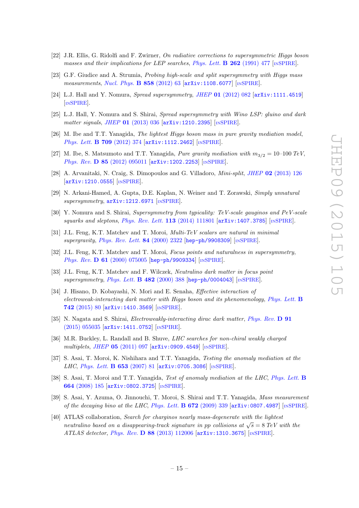- [22] J.R. Ellis, G. Ridolfi and F. Zwirner, On radiative corrections to supersymmetric Higgs boson masses and their implications for LEP searches, [Phys. Lett.](http://dx.doi.org/10.1016/0370-2693(91)90626-2) **B** 262 (1991) 477 [IN[SPIRE](http://inspirehep.net/search?p=find+J+Phys.Lett.,B262,477)].
- <span id="page-15-0"></span>[23] G.F. Giudice and A. Strumia, Probing high-scale and split supersymmetry with Higgs mass measurements, [Nucl. Phys.](http://dx.doi.org/10.1016/j.nuclphysb.2012.01.001)  $\bf{B}$  858 (2012) 63 [[arXiv:1108.6077](http://arxiv.org/abs/1108.6077)] [IN[SPIRE](http://inspirehep.net/search?p=find+EPRINT+arXiv:1108.6077)].
- <span id="page-15-1"></span>[24] L.J. Hall and Y. Nomura, *Spread supersymmetry, JHEP* 01 [\(2012\) 082](http://dx.doi.org/10.1007/JHEP01(2012)082) [[arXiv:1111.4519](http://arxiv.org/abs/1111.4519)] [IN[SPIRE](http://inspirehep.net/search?p=find+EPRINT+arXiv:1111.4519)].
- [25] L.J. Hall, Y. Nomura and S. Shirai, Spread supersymmetry with Wino LSP: gluino and dark matter signals, JHEP 01 [\(2013\) 036](http://dx.doi.org/10.1007/JHEP01(2013)036) [[arXiv:1210.2395](http://arxiv.org/abs/1210.2395)] [IN[SPIRE](http://inspirehep.net/search?p=find+EPRINT+arXiv:1210.2395)].
- [26] M. Ibe and T.T. Yanagida, The lightest Higgs boson mass in pure gravity mediation model, [Phys. Lett.](http://dx.doi.org/10.1016/j.physletb.2012.02.034) **B 709** (2012) 374 [[arXiv:1112.2462](http://arxiv.org/abs/1112.2462)] [IN[SPIRE](http://inspirehep.net/search?p=find+EPRINT+arXiv:1112.2462)].
- [27] M. Ibe, S. Matsumoto and T.T. Yanagida, Pure gravity mediation with  $m_{3/2} = 10$ –100 TeV, Phys. Rev. D 85 [\(2012\) 095011](http://dx.doi.org/10.1103/PhysRevD.85.095011) [[arXiv:1202.2253](http://arxiv.org/abs/1202.2253)] [IN[SPIRE](http://inspirehep.net/search?p=find+EPRINT+arXiv:1202.2253)].
- [28] A. Arvanitaki, N. Craig, S. Dimopoulos and G. Villadoro, Mini-split, JHEP 02 [\(2013\) 126](http://dx.doi.org/10.1007/JHEP02(2013)126) [[arXiv:1210.0555](http://arxiv.org/abs/1210.0555)] [IN[SPIRE](http://inspirehep.net/search?p=find+EPRINT+arXiv:1210.0555)].
- [29] N. Arkani-Hamed, A. Gupta, D.E. Kaplan, N. Weiner and T. Zorawski, Simply unnatural supersymmetry,  $arXiv:1212.6971$  [IN[SPIRE](http://inspirehep.net/search?p=find+EPRINT+arXiv:1212.6971)].
- <span id="page-15-2"></span>[30] Y. Nomura and S. Shirai, Supersymmetry from typicality: TeV-scale gauginos and PeV-scale squarks and sleptons, [Phys. Rev. Lett.](http://dx.doi.org/10.1103/PhysRevLett.113.111801) 113 (2014) 111801 [[arXiv:1407.3785](http://arxiv.org/abs/1407.3785)] [IN[SPIRE](http://inspirehep.net/search?p=find+EPRINT+arXiv:1407.3785)].
- <span id="page-15-3"></span>[31] J.L. Feng, K.T. Matchev and T. Moroi, Multi-TeV scalars are natural in minimal supergravity, [Phys. Rev. Lett.](http://dx.doi.org/10.1103/PhysRevLett.84.2322) 84 (2000) 2322 [[hep-ph/9908309](http://arxiv.org/abs/hep-ph/9908309)] [IN[SPIRE](http://inspirehep.net/search?p=find+EPRINT+hep-ph/9908309)].
- [32] J.L. Feng, K.T. Matchev and T. Moroi, Focus points and naturalness in supersymmetry, Phys. Rev. D 61 [\(2000\) 075005](http://dx.doi.org/10.1103/PhysRevD.61.075005) [[hep-ph/9909334](http://arxiv.org/abs/hep-ph/9909334)] [IN[SPIRE](http://inspirehep.net/search?p=find+EPRINT+hep-ph/9909334)].
- <span id="page-15-4"></span>[33] J.L. Feng, K.T. Matchev and F. Wilczek, Neutralino dark matter in focus point supersymmetry, [Phys. Lett.](http://dx.doi.org/10.1016/S0370-2693(00)00512-8) B 482 (2000) 388 [[hep-ph/0004043](http://arxiv.org/abs/hep-ph/0004043)] [IN[SPIRE](http://inspirehep.net/search?p=find+EPRINT+hep-ph/0004043)].
- <span id="page-15-5"></span>[34] J. Hisano, D. Kobayashi, N. Mori and E. Senaha, Effective interaction of electroweak-interacting dark matter with Higgs boson and its phenomenology, [Phys. Lett.](http://dx.doi.org/10.1016/j.physletb.2015.01.012) B 742 [\(2015\) 80](http://dx.doi.org/10.1016/j.physletb.2015.01.012) [[arXiv:1410.3569](http://arxiv.org/abs/1410.3569)] [IN[SPIRE](http://inspirehep.net/search?p=find+EPRINT+arXiv:1410.3569)].
- <span id="page-15-6"></span>[35] N. Nagata and S. Shirai, Electroweakly-interacting dirac dark matter, [Phys. Rev.](http://dx.doi.org/10.1103/PhysRevD.91.055035) D 91 [\(2015\) 055035](http://dx.doi.org/10.1103/PhysRevD.91.055035) [[arXiv:1411.0752](http://arxiv.org/abs/1411.0752)] [IN[SPIRE](http://inspirehep.net/search?p=find+EPRINT+arXiv:1411.0752)].
- <span id="page-15-7"></span>[36] M.R. Buckley, L. Randall and B. Shuve, LHC searches for non-chiral weakly charged multiplets, JHEP 05 [\(2011\) 097](http://dx.doi.org/10.1007/JHEP05(2011)097) [[arXiv:0909.4549](http://arxiv.org/abs/0909.4549)] [IN[SPIRE](http://inspirehep.net/search?p=find+EPRINT+arXiv:0909.4549)].
- [37] S. Asai, T. Moroi, K. Nishihara and T.T. Yanagida, Testing the anomaly mediation at the LHC, [Phys. Lett.](http://dx.doi.org/10.1016/j.physletb.2007.06.080) **B 653** (2007) 81 [[arXiv:0705.3086](http://arxiv.org/abs/0705.3086)] [IN[SPIRE](http://inspirehep.net/search?p=find+EPRINT+arXiv:0705.3086)].
- [38] S. Asai, T. Moroi and T.T. Yanagida, Test of anomaly mediation at the LHC, [Phys. Lett.](http://dx.doi.org/10.1016/j.physletb.2008.05.019) B 664 [\(2008\) 185](http://dx.doi.org/10.1016/j.physletb.2008.05.019) [[arXiv:0802.3725](http://arxiv.org/abs/0802.3725)] [IN[SPIRE](http://inspirehep.net/search?p=find+EPRINT+arXiv:0802.3725)].
- [39] S. Asai, Y. Azuma, O. Jinnouchi, T. Moroi, S. Shirai and T.T. Yanagida, Mass measurement of the decaying bino at the LHC, [Phys. Lett.](http://dx.doi.org/10.1016/j.physletb.2009.01.045)  $\bf{B}$  672 (2009) 339 [[arXiv:0807.4987](http://arxiv.org/abs/0807.4987)] [IN[SPIRE](http://inspirehep.net/search?p=find+EPRINT+arXiv:0807.4987)].
- [40] ATLAS collaboration, Search for charginos nearly mass-degenerate with the lightest neutralino based on a disappearing-track signature in pp collisions at  $\sqrt{s} = 8 \text{ TeV}$  with the ATLAS detector, Phys. Rev. D 88 [\(2013\) 112006](http://dx.doi.org/10.1103/PhysRevD.88.112006http://dx.doi.org/10.1103/PhysRevD.88.112006)  $arXiv:1310.3675$  [IN[SPIRE](http://inspirehep.net/search?p=find+EPRINT+arXiv:1310.3675)].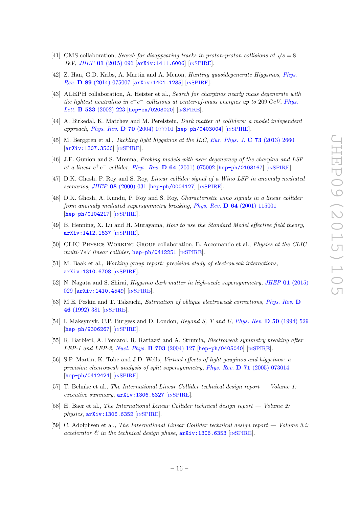- <span id="page-16-0"></span>[41] CMS collaboration, Search for disappearing tracks in proton-proton collisions at  $\sqrt{s} = 8$ TeV, JHEP 01 [\(2015\) 096](http://dx.doi.org/10.1007/JHEP01(2015)096) [[arXiv:1411.6006](http://arxiv.org/abs/1411.6006)] [IN[SPIRE](http://inspirehep.net/search?p=find+EPRINT+arXiv:1411.6006)].
- <span id="page-16-1"></span>[42] Z. Han, G.D. Kribs, A. Martin and A. Menon, Hunting quasidegenerate Higgsinos, [Phys.](http://dx.doi.org/10.1103/PhysRevD.89.075007) Rev. D 89 [\(2014\) 075007](http://dx.doi.org/10.1103/PhysRevD.89.075007) [[arXiv:1401.1235](http://arxiv.org/abs/1401.1235)] [IN[SPIRE](http://inspirehep.net/search?p=find+EPRINT+arXiv:1401.1235)].
- <span id="page-16-2"></span>[43] ALEPH collaboration, A. Heister et al., Search for charginos nearly mass degenerate with the lightest neutralino in  $e^+e^-$  collisions at center-of-mass energies up to 209 GeV, [Phys.](http://dx.doi.org/10.1016/S0370-2693(02)01584-8) Lett. **B 533** [\(2002\) 223](http://dx.doi.org/10.1016/S0370-2693(02)01584-8) [[hep-ex/0203020](http://arxiv.org/abs/hep-ex/0203020)] [IN[SPIRE](http://inspirehep.net/search?p=find+EPRINT+hep-ex/0203020)].
- <span id="page-16-3"></span>[44] A. Birkedal, K. Matchev and M. Perelstein, Dark matter at colliders: a model independent approach, Phys. Rev. D 70 [\(2004\) 077701](http://dx.doi.org/10.1103/PhysRevD.70.077701) [[hep-ph/0403004](http://arxiv.org/abs/hep-ph/0403004)]  $\text{lnSPIRE}$  $\text{lnSPIRE}$  $\text{lnSPIRE}$ ].
- <span id="page-16-4"></span>[45] M. Berggren et al., *Tackling light higgsinos at the ILC, [Eur. Phys. J.](http://dx.doi.org/10.1140/epjc/s10052-013-2660-y)* **C 73** (2013) 2660 [[arXiv:1307.3566](http://arxiv.org/abs/1307.3566)] [IN[SPIRE](http://inspirehep.net/search?p=find+EPRINT+arXiv:1307.3566)].
- <span id="page-16-5"></span>[46] J.F. Gunion and S. Mrenna, Probing models with near degeneracy of the chargino and LSP at a linear  $e^+e^-$  collider, *Phys. Rev.* **D 64** [\(2001\) 075002](http://dx.doi.org/10.1103/PhysRevD.64.075002) [[hep-ph/0103167](http://arxiv.org/abs/hep-ph/0103167)] [IN[SPIRE](http://inspirehep.net/search?p=find+EPRINT+hep-ph/0103167)].
- <span id="page-16-9"></span>[47] D.K. Ghosh, P. Roy and S. Roy, *Linear collider signal of a Wino LSP in anomaly mediated* scenarios, JHEP 08 [\(2000\) 031](http://dx.doi.org/10.1088/1126-6708/2000/08/031) [[hep-ph/0004127](http://arxiv.org/abs/hep-ph/0004127)] [IN[SPIRE](http://inspirehep.net/search?p=find+EPRINT+hep-ph/0004127)].
- <span id="page-16-10"></span>[48] D.K. Ghosh, A. Kundu, P. Roy and S. Roy, Characteristic wino signals in a linear collider from anomaly mediated supersymmetry breaking, Phys. Rev.  $\bf{D} 64$  [\(2001\) 115001](http://dx.doi.org/10.1103/PhysRevD.64.115001) [[hep-ph/0104217](http://arxiv.org/abs/hep-ph/0104217)] [IN[SPIRE](http://inspirehep.net/search?p=find+EPRINT+hep-ph/0104217)].
- <span id="page-16-6"></span>[49] B. Henning, X. Lu and H. Murayama, How to use the Standard Model effective field theory, [arXiv:1412.1837](http://arxiv.org/abs/1412.1837) [IN[SPIRE](http://inspirehep.net/search?p=find+EPRINT+arXiv:1412.1837)].
- <span id="page-16-7"></span>[50] CLIC Physics Working Group collaboration, E. Accomando et al., Physics at the CLIC multi-TeV linear collider, [hep-ph/0412251](http://arxiv.org/abs/hep-ph/0412251)  $[NSPIRE]$  $[NSPIRE]$  $[NSPIRE]$ .
- <span id="page-16-8"></span>[51] M. Baak et al., Working group report: precision study of electroweak interactions, [arXiv:1310.6708](http://arxiv.org/abs/1310.6708) [IN[SPIRE](http://inspirehep.net/search?p=find+EPRINT+arXiv:1310.6708)].
- <span id="page-16-11"></span>[52] N. Nagata and S. Shirai, *Higgsino dark matter in high-scale supersymmetry, JHEP* 01 [\(2015\)](http://dx.doi.org/10.1007/JHEP01(2015)029) [029](http://dx.doi.org/10.1007/JHEP01(2015)029) [[arXiv:1410.4549](http://arxiv.org/abs/1410.4549)] [IN[SPIRE](http://inspirehep.net/search?p=find+EPRINT+arXiv:1410.4549)].
- <span id="page-16-12"></span>[53] M.E. Peskin and T. Takeuchi, Estimation of oblique electroweak corrections, [Phys. Rev.](http://dx.doi.org/10.1103/PhysRevD.46.381) D 46 [\(1992\) 381](http://dx.doi.org/10.1103/PhysRevD.46.381) [IN[SPIRE](http://inspirehep.net/search?p=find+J+Phys.Rev.,D46,381)].
- <span id="page-16-13"></span>[54] I. Maksymyk, C.P. Burgess and D. London, *Beyond S. T and U. [Phys. Rev.](http://dx.doi.org/10.1103/PhysRevD.50.529)* **D** 50 (1994) 529 [[hep-ph/9306267](http://arxiv.org/abs/hep-ph/9306267)] [IN[SPIRE](http://inspirehep.net/search?p=find+EPRINT+hep-ph/9306267)].
- <span id="page-16-14"></span>[55] R. Barbieri, A. Pomarol, R. Rattazzi and A. Strumia, Electroweak symmetry breaking after LEP-1 and LEP-2, [Nucl. Phys.](http://dx.doi.org/10.1016/j.nuclphysb.2004.10.014)  $B$  703 (2004) 127 [[hep-ph/0405040](http://arxiv.org/abs/hep-ph/0405040)] [IN[SPIRE](http://inspirehep.net/search?p=find+EPRINT+hep-ph/0405040)].
- <span id="page-16-15"></span>[56] S.P. Martin, K. Tobe and J.D. Wells, Virtual effects of light gauginos and higgsinos: a precision electroweak analysis of split supersymmetry, Phys. Rev. D 71 [\(2005\) 073014](http://dx.doi.org/10.1103/PhysRevD.71.073014) [[hep-ph/0412424](http://arxiv.org/abs/hep-ph/0412424)] [IN[SPIRE](http://inspirehep.net/search?p=find+EPRINT+hep-ph/0412424)].
- <span id="page-16-16"></span>[57] T. Behnke et al., The International Linear Collider technical design report — Volume 1: executive summary,  $arXiv:1306.6327$  [IN[SPIRE](http://inspirehep.net/search?p=find+EPRINT+arXiv:1306.6327)].
- [58] H. Baer et al., The International Linear Collider technical design report Volume 2:  $physics, arXiv:1306.6352$  $physics, arXiv:1306.6352$  [IN[SPIRE](http://inspirehep.net/search?p=find+EPRINT+arXiv:1306.6352)].
- [59] C. Adolphsen et al., The International Linear Collider technical design report Volume 3.i: accelerator  $\mathcal{B}$  in the technical design phase,  $arXiv:1306.6353$  [IN[SPIRE](http://inspirehep.net/search?p=find+EPRINT+arXiv:1306.6353)].